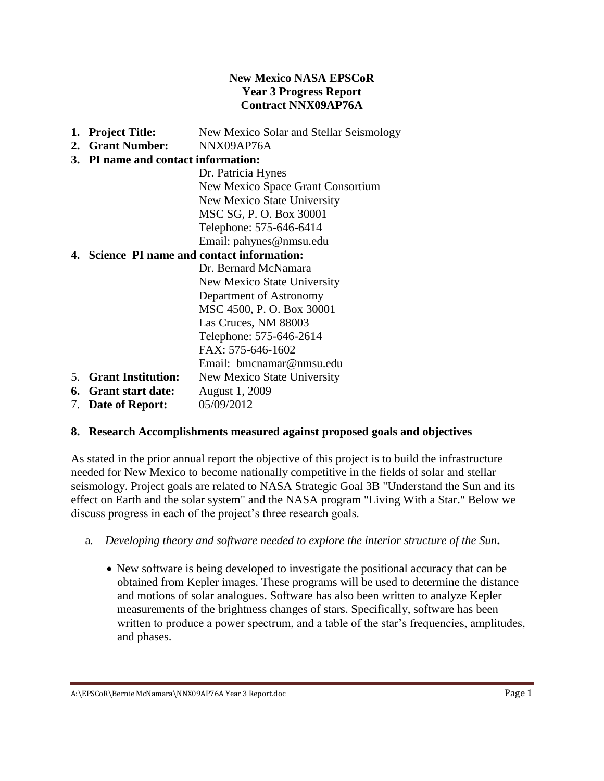#### **New Mexico NASA EPSCoR Year 3 Progress Report Contract NNX09AP76A**

- **1. Project Title:** New Mexico Solar and Stellar Seismology
- **2. Grant Number:** NNX09AP76A

# **3. PI name and contact information:**

Dr. Patricia Hynes New Mexico Space Grant Consortium New Mexico State University MSC SG, P. O. Box 30001 Telephone: 575-646-6414 Email: pahynes@nmsu.edu

### **4. Science PI name and contact information:**

Dr. Bernard McNamara New Mexico State University Department of Astronomy MSC 4500, P. O. Box 30001 Las Cruces, NM 88003 Telephone: 575-646-2614  $FAX: 575-646-1602$ Email: [bmcnamar@nmsu.edu](mailto:bmcnamar@nmsu.edu) 5. **Grant Institution:** New Mexico State University

- **6. Grant start date:** August 1, 2009
- 7. **Date of Report:** 05/09/2012

### **8. Research Accomplishments measured against proposed goals and objectives**

As stated in the prior annual report the objective of this project is to build the infrastructure needed for New Mexico to become nationally competitive in the fields of solar and stellar seismology. Project goals are related to NASA Strategic Goal 3B "Understand the Sun and its effect on Earth and the solar system" and the NASA program "Living With a Star." Below we discuss progress in each of the project's three research goals.

- a*. Developing theory and software needed to explore the interior structure of the Sun***.** 
	- New software is being developed to investigate the positional accuracy that can be obtained from Kepler images. These programs will be used to determine the distance and motions of solar analogues. Software has also been written to analyze Kepler measurements of the brightness changes of stars. Specifically, software has been written to produce a power spectrum, and a table of the star's frequencies, amplitudes, and phases.

A:\EPSCoR\Bernie McNamara\NNX09AP76A Year 3 Report.doc **Page 1**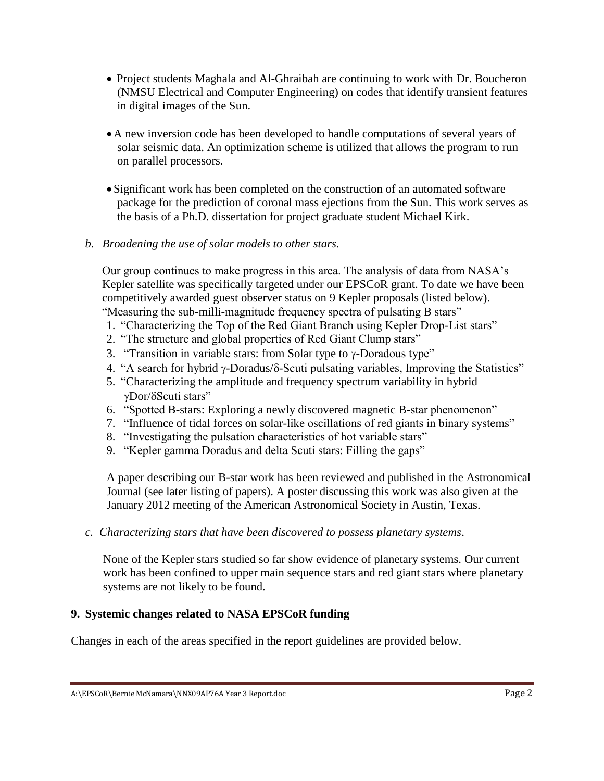- Project students Maghala and Al-Ghraibah are continuing to work with Dr. Boucheron (NMSU Electrical and Computer Engineering) on codes that identify transient features in digital images of the Sun.
- A new inversion code has been developed to handle computations of several years of solar seismic data. An optimization scheme is utilized that allows the program to run on parallel processors.
- Significant work has been completed on the construction of an automated software package for the prediction of coronal mass ejections from the Sun. This work serves as the basis of a Ph.D. dissertation for project graduate student Michael Kirk.

#### *b. Broadening the use of solar models to other stars.*

Our group continues to make progress in this area. The analysis of data from NASA's Kepler satellite was specifically targeted under our EPSCoR grant. To date we have been competitively awarded guest observer status on 9 Kepler proposals (listed below). "Measuring the sub-milli-magnitude frequency spectra of pulsating B stars"

- 1. "Characterizing the Top of the Red Giant Branch using Kepler Drop-List stars"
- 2. "The structure and global properties of Red Giant Clump stars"
- 3. "Transition in variable stars: from Solar type to  $\gamma$ -Doradous type"
- 4. "A search for hybrid  $\gamma$ -Doradus/ $\delta$ -Scuti pulsating variables, Improving the Statistics"
- 5. "Characterizing the amplitude and frequency spectrum variability in hybrid γDor/δScuti stars"
- 6. "Spotted B-stars: Exploring a newly discovered magnetic B-star phenomenon"
- 7. "Influence of tidal forces on solar-like oscillations of red giants in binary systems"
- 8. "Investigating the pulsation characteristics of hot variable stars"
- 9. "Kepler gamma Doradus and delta Scuti stars: Filling the gaps"

A paper describing our B-star work has been reviewed and published in the Astronomical Journal (see later listing of papers). A poster discussing this work was also given at the January 2012 meeting of the American Astronomical Society in Austin, Texas.

*c. Characterizing stars that have been discovered to possess planetary systems*.

None of the Kepler stars studied so far show evidence of planetary systems. Our current work has been confined to upper main sequence stars and red giant stars where planetary systems are not likely to be found.

### **9. Systemic changes related to NASA EPSCoR funding**

Changes in each of the areas specified in the report guidelines are provided below.

A:\EPSCoR\Bernie McNamara\NNX09AP76A Year 3 Report.doc **Page 2**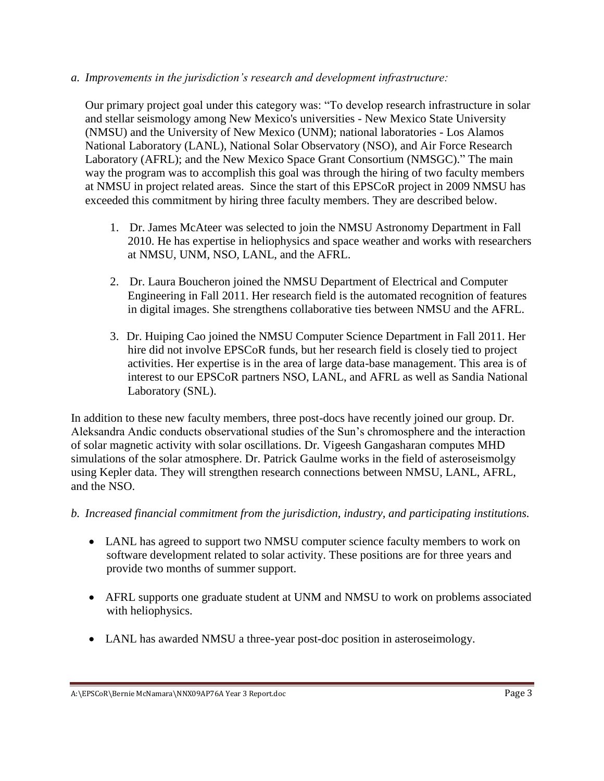#### *a. Improvements in the jurisdiction's research and development infrastructure:*

Our primary project goal under this category was: "To develop research infrastructure in solar and stellar seismology among New Mexico's universities - New Mexico State University (NMSU) and the University of New Mexico (UNM); national laboratories - Los Alamos National Laboratory (LANL), National Solar Observatory (NSO), and Air Force Research Laboratory (AFRL); and the New Mexico Space Grant Consortium (NMSGC)." The main way the program was to accomplish this goal was through the hiring of two faculty members at NMSU in project related areas. Since the start of this EPSCoR project in 2009 NMSU has exceeded this commitment by hiring three faculty members. They are described below.

- 1. Dr. James McAteer was selected to join the NMSU Astronomy Department in Fall 2010. He has expertise in heliophysics and space weather and works with researchers at NMSU, UNM, NSO, LANL, and the AFRL.
- 2. Dr. Laura Boucheron joined the NMSU Department of Electrical and Computer Engineering in Fall 2011. Her research field is the automated recognition of features in digital images. She strengthens collaborative ties between NMSU and the AFRL.
- 3. Dr. Huiping Cao joined the NMSU Computer Science Department in Fall 2011. Her hire did not involve EPSCoR funds, but her research field is closely tied to project activities. Her expertise is in the area of large data-base management. This area is of interest to our EPSCoR partners NSO, LANL, and AFRL as well as Sandia National Laboratory (SNL).

In addition to these new faculty members, three post-docs have recently joined our group. Dr. Aleksandra Andic conducts observational studies of the Sun's chromosphere and the interaction of solar magnetic activity with solar oscillations. Dr. Vigeesh Gangasharan computes MHD simulations of the solar atmosphere. Dr. Patrick Gaulme works in the field of asteroseismolgy using Kepler data. They will strengthen research connections between NMSU, LANL, AFRL, and the NSO.

#### *b. Increased financial commitment from the jurisdiction, industry, and participating institutions.*

- LANL has agreed to support two NMSU computer science faculty members to work on software development related to solar activity. These positions are for three years and provide two months of summer support.
- AFRL supports one graduate student at UNM and NMSU to work on problems associated with heliophysics.
- LANL has awarded NMSU a three-year post-doc position in asteroseimology.

A:\EPSCoR\Bernie McNamara\NNX09AP76A Year 3 Report.doc **Page 3**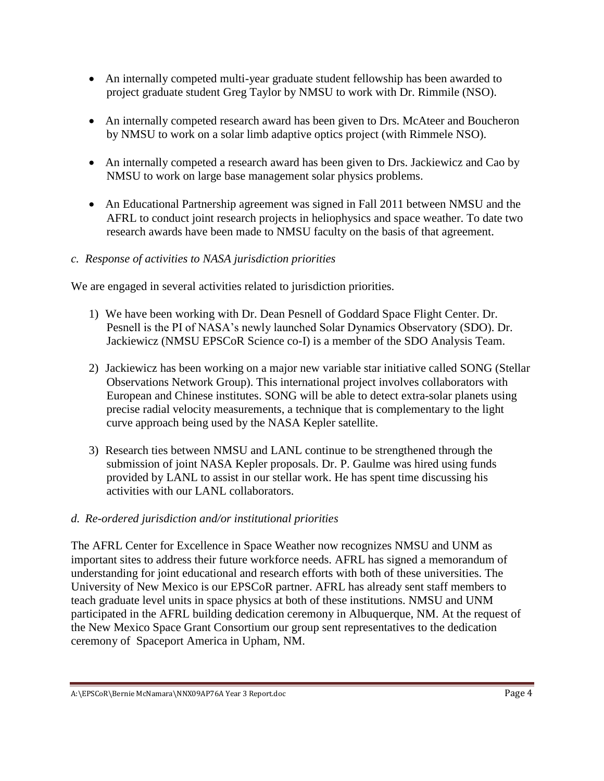- An internally competed multi-year graduate student fellowship has been awarded to project graduate student Greg Taylor by NMSU to work with Dr. Rimmile (NSO).
- An internally competed research award has been given to Drs. McAteer and Boucheron by NMSU to work on a solar limb adaptive optics project (with Rimmele NSO).
- An internally competed a research award has been given to Drs. Jackiewicz and Cao by NMSU to work on large base management solar physics problems.
- An Educational Partnership agreement was signed in Fall 2011 between NMSU and the AFRL to conduct joint research projects in heliophysics and space weather. To date two research awards have been made to NMSU faculty on the basis of that agreement.
- *c. Response of activities to NASA jurisdiction priorities*

We are engaged in several activities related to jurisdiction priorities.

- 1) We have been working with Dr. Dean Pesnell of Goddard Space Flight Center. Dr. Pesnell is the PI of NASA's newly launched Solar Dynamics Observatory (SDO). Dr. Jackiewicz (NMSU EPSCoR Science co-I) is a member of the SDO Analysis Team.
- 2) Jackiewicz has been working on a major new variable star initiative called SONG (Stellar Observations Network Group). This international project involves collaborators with European and Chinese institutes. SONG will be able to detect extra-solar planets using precise radial velocity measurements, a technique that is complementary to the light curve approach being used by the NASA Kepler satellite.
- 3) Research ties between NMSU and LANL continue to be strengthened through the submission of joint NASA Kepler proposals. Dr. P. Gaulme was hired using funds provided by LANL to assist in our stellar work. He has spent time discussing his activities with our LANL collaborators.

### *d. Re-ordered jurisdiction and/or institutional priorities*

The AFRL Center for Excellence in Space Weather now recognizes NMSU and UNM as important sites to address their future workforce needs. AFRL has signed a memorandum of understanding for joint educational and research efforts with both of these universities. The University of New Mexico is our EPSCoR partner. AFRL has already sent staff members to teach graduate level units in space physics at both of these institutions. NMSU and UNM participated in the AFRL building dedication ceremony in Albuquerque, NM. At the request of the New Mexico Space Grant Consortium our group sent representatives to the dedication ceremony of Spaceport America in Upham, NM.

A:\EPSCoR\Bernie McNamara\NNX09AP76A Year 3 Report.doc **Page 4**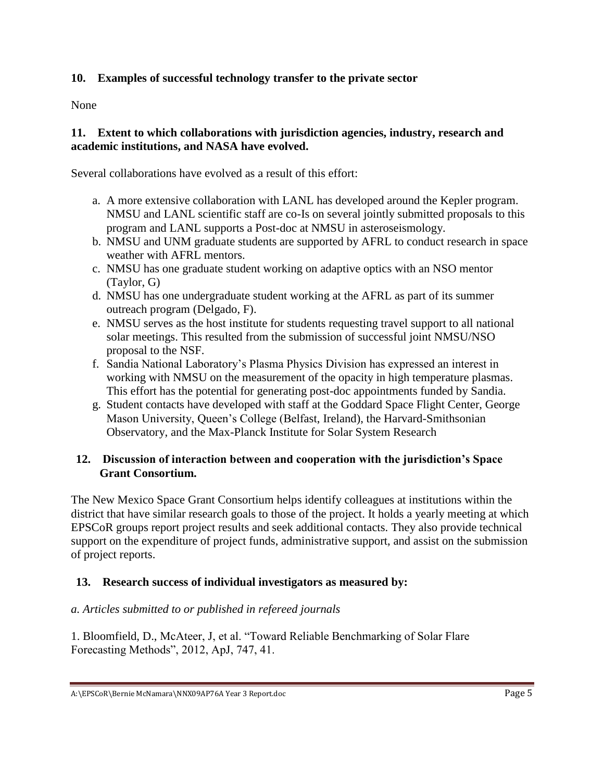### **10. Examples of successful technology transfer to the private sector**

None

#### **11. Extent to which collaborations with jurisdiction agencies, industry, research and academic institutions, and NASA have evolved.**

Several collaborations have evolved as a result of this effort:

- a. A more extensive collaboration with LANL has developed around the Kepler program. NMSU and LANL scientific staff are co-Is on several jointly submitted proposals to this program and LANL supports a Post-doc at NMSU in asteroseismology.
- b. NMSU and UNM graduate students are supported by AFRL to conduct research in space weather with AFRL mentors.
- c. NMSU has one graduate student working on adaptive optics with an NSO mentor (Taylor, G)
- d. NMSU has one undergraduate student working at the AFRL as part of its summer outreach program (Delgado, F).
- e. NMSU serves as the host institute for students requesting travel support to all national solar meetings. This resulted from the submission of successful joint NMSU/NSO proposal to the NSF.
- f. Sandia National Laboratory's Plasma Physics Division has expressed an interest in working with NMSU on the measurement of the opacity in high temperature plasmas. This effort has the potential for generating post-doc appointments funded by Sandia.
- g. Student contacts have developed with staff at the Goddard Space Flight Center, George Mason University, Queen's College (Belfast, Ireland), the Harvard-Smithsonian Observatory, and the Max-Planck Institute for Solar System Research

### **12. Discussion of interaction between and cooperation with the jurisdiction's Space Grant Consortium.**

The New Mexico Space Grant Consortium helps identify colleagues at institutions within the district that have similar research goals to those of the project. It holds a yearly meeting at which EPSCoR groups report project results and seek additional contacts. They also provide technical support on the expenditure of project funds, administrative support, and assist on the submission of project reports.

### **13. Research success of individual investigators as measured by:**

#### *a. Articles submitted to or published in refereed journals*

1. Bloomfield, D., McAteer, J, et al. "Toward Reliable Benchmarking of Solar Flare Forecasting Methods", 2012, ApJ, 747, 41.

A:\EPSCoR\Bernie McNamara\NNX09AP76A Year 3 Report.doc **Page 5**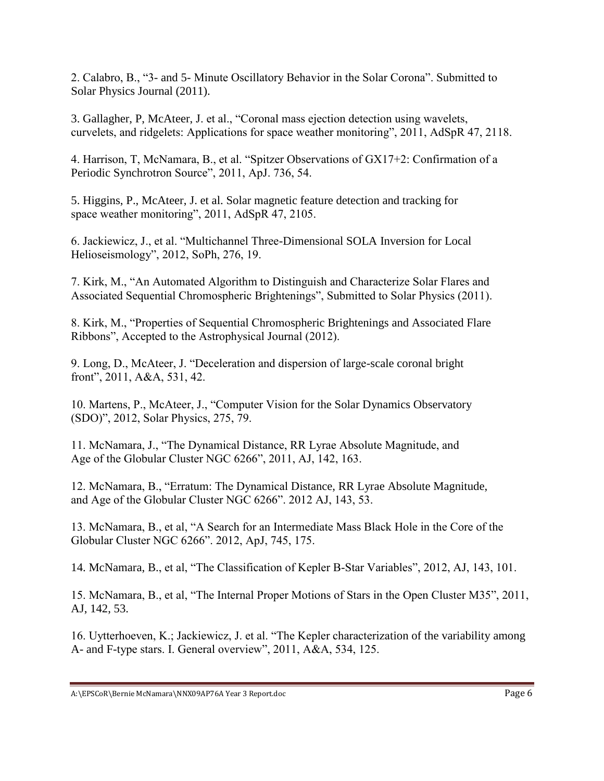2. Calabro, B., "3- and 5- Minute Oscillatory Behavior in the Solar Corona". Submitted to Solar Physics Journal (2011).

3. Gallagher, P, McAteer, J. et al., "Coronal mass ejection detection using wavelets, curvelets, and ridgelets: Applications for space weather monitoring", 2011, AdSpR 47, 2118.

4. Harrison, T, McNamara, B., et al. "Spitzer Observations of GX17+2: Confirmation of a Periodic Synchrotron Source", 2011, ApJ. 736, 54.

5. Higgins, P., McAteer, J. et al. Solar magnetic feature detection and tracking for space weather monitoring", 2011, AdSpR 47, 2105.

6. Jackiewicz, J., et al. "Multichannel Three-Dimensional SOLA Inversion for Local Helioseismology", 2012, SoPh, 276, 19.

7. Kirk, M., "An Automated Algorithm to Distinguish and Characterize Solar Flares and Associated Sequential Chromospheric Brightenings", Submitted to Solar Physics (2011).

8. Kirk, M., "Properties of Sequential Chromospheric Brightenings and Associated Flare Ribbons", Accepted to the Astrophysical Journal (2012).

9. Long, D., McAteer, J. "Deceleration and dispersion of large-scale coronal bright front", 2011, A&A, 531, 42.

10. Martens, P., McAteer, J., "Computer Vision for the Solar Dynamics Observatory (SDO)", 2012, Solar Physics, 275, 79.

11. McNamara, J., "The Dynamical Distance, RR Lyrae Absolute Magnitude, and Age of the Globular Cluster NGC 6266", 2011, AJ, 142, 163.

12. McNamara, B., "Erratum: The Dynamical Distance, RR Lyrae Absolute Magnitude, and Age of the Globular Cluster NGC 6266". 2012 AJ, 143, 53.

13. McNamara, B., et al, "A Search for an Intermediate Mass Black Hole in the Core of the Globular Cluster NGC 6266". 2012, ApJ, 745, 175.

14. McNamara, B., et al, "The Classification of Kepler B-Star Variables", 2012, AJ, 143, 101.

15. McNamara, B., et al, "The Internal Proper Motions of Stars in the Open Cluster M35", 2011, AJ, 142, 53.

16. Uytterhoeven, K.; Jackiewicz, J. et al. "The Kepler characterization of the variability among A- and F-type stars. I. General overview", 2011, A&A, 534, 125.

A:\EPSCoR\Bernie McNamara\NNX09AP76A Year 3 Report.doc entries and the control of the Page 6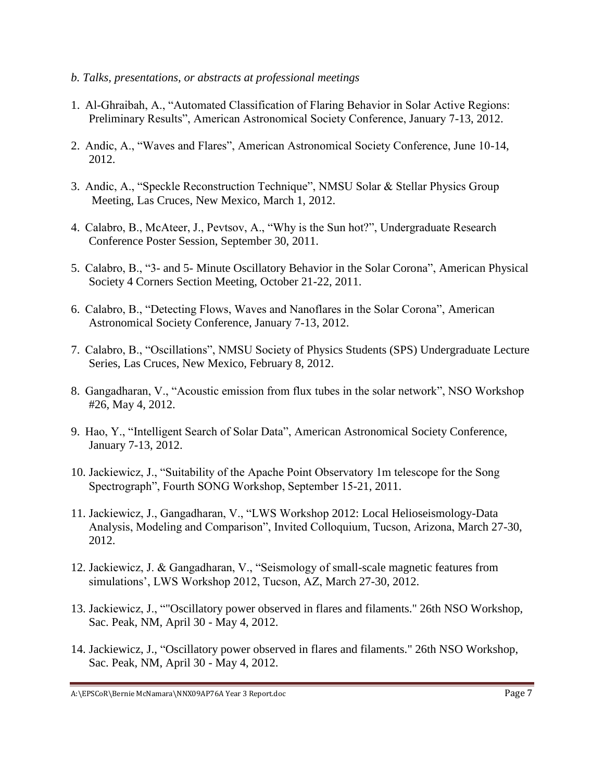- *b. Talks, presentations, or abstracts at professional meetings*
- 1. Al-Ghraibah, A., "Automated Classification of Flaring Behavior in Solar Active Regions: Preliminary Results", American Astronomical Society Conference, January 7-13, 2012.
- 2. Andic, A., "Waves and Flares", American Astronomical Society Conference, June 10-14, 2012.
- 3. Andic, A., "Speckle Reconstruction Technique", NMSU Solar & Stellar Physics Group Meeting, Las Cruces, New Mexico, March 1, 2012.
- 4. Calabro, B., McAteer, J., Pevtsov, A., "Why is the Sun hot?", Undergraduate Research Conference Poster Session, September 30, 2011.
- 5. Calabro, B., "3- and 5- Minute Oscillatory Behavior in the Solar Corona", American Physical Society 4 Corners Section Meeting, October 21-22, 2011.
- 6. Calabro, B., "Detecting Flows, Waves and Nanoflares in the Solar Corona", American Astronomical Society Conference, January 7-13, 2012.
- 7. Calabro, B., "Oscillations", NMSU Society of Physics Students (SPS) Undergraduate Lecture Series, Las Cruces, New Mexico, February 8, 2012.
- 8. Gangadharan, V., "Acoustic emission from flux tubes in the solar network", NSO Workshop #26, May 4, 2012.
- 9. Hao, Y., "Intelligent Search of Solar Data", American Astronomical Society Conference, January 7-13, 2012.
- 10. Jackiewicz, J., "Suitability of the Apache Point Observatory 1m telescope for the Song Spectrograph", Fourth SONG Workshop, September 15-21, 2011.
- 11. Jackiewicz, J., Gangadharan, V., "LWS Workshop 2012: Local Helioseismology-Data Analysis, Modeling and Comparison", Invited Colloquium, Tucson, Arizona, March 27-30, 2012.
- 12. Jackiewicz, J. & Gangadharan, V., "Seismology of small-scale magnetic features from simulations', LWS Workshop 2012, Tucson, AZ, March 27-30, 2012.
- 13. Jackiewicz, J., ""Oscillatory power observed in flares and filaments." 26th NSO Workshop, Sac. Peak, NM, April 30 - May 4, 2012.
- 14. Jackiewicz, J., "Oscillatory power observed in flares and filaments." 26th NSO Workshop, Sac. Peak, NM, April 30 - May 4, 2012.

A:\EPSCoR\Bernie McNamara\NNX09AP76A Year 3 Report.doc Page 7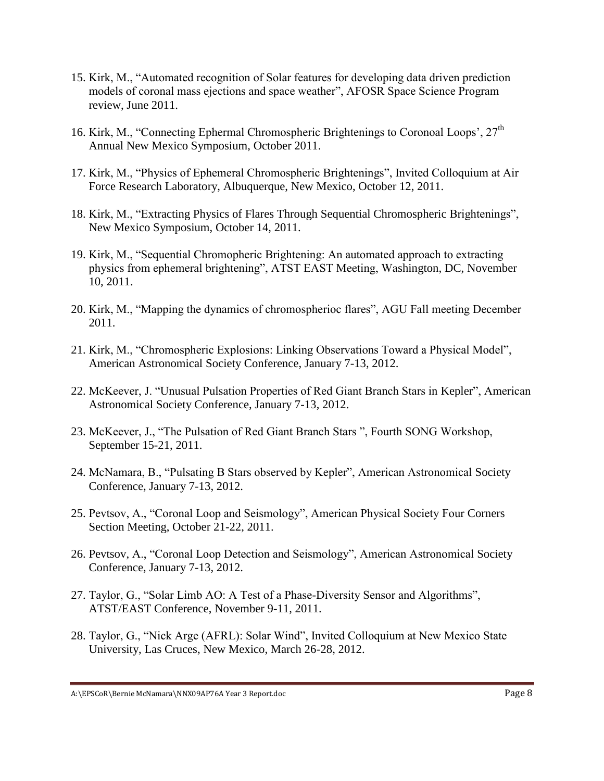- 15. Kirk, M., "Automated recognition of Solar features for developing data driven prediction models of coronal mass ejections and space weather", AFOSR Space Science Program review, June 2011.
- 16. Kirk, M., "Connecting Ephermal Chromospheric Brightenings to Coronoal Loops',  $27<sup>th</sup>$ Annual New Mexico Symposium, October 2011.
- 17. Kirk, M., "Physics of Ephemeral Chromospheric Brightenings", Invited Colloquium at Air Force Research Laboratory, Albuquerque, New Mexico, October 12, 2011.
- 18. Kirk, M., "Extracting Physics of Flares Through Sequential Chromospheric Brightenings", New Mexico Symposium, October 14, 2011.
- 19. Kirk, M., "Sequential Chromopheric Brightening: An automated approach to extracting physics from ephemeral brightening", ATST EAST Meeting, Washington, DC, November 10, 2011.
- 20. Kirk, M., "Mapping the dynamics of chromospherioc flares", AGU Fall meeting December 2011.
- 21. Kirk, M., "Chromospheric Explosions: Linking Observations Toward a Physical Model", American Astronomical Society Conference, January 7-13, 2012.
- 22. McKeever, J. "Unusual Pulsation Properties of Red Giant Branch Stars in Kepler", American Astronomical Society Conference, January 7-13, 2012.
- 23. McKeever, J., "The Pulsation of Red Giant Branch Stars ", Fourth SONG Workshop, September 15-21, 2011.
- 24. McNamara, B., "Pulsating B Stars observed by Kepler", American Astronomical Society Conference, January 7-13, 2012.
- 25. Pevtsov, A., "Coronal Loop and Seismology", American Physical Society Four Corners Section Meeting, October 21-22, 2011.
- 26. Pevtsov, A., "Coronal Loop Detection and Seismology", American Astronomical Society Conference, January 7-13, 2012.
- 27. Taylor, G., "Solar Limb AO: A Test of a Phase-Diversity Sensor and Algorithms", ATST/EAST Conference, November 9-11, 2011.
- 28. Taylor, G., "Nick Arge (AFRL): Solar Wind", Invited Colloquium at New Mexico State University, Las Cruces, New Mexico, March 26-28, 2012.

A:\EPSCoR\Bernie McNamara\NNX09AP76A Year 3 Report.doc entries and the control of the Page 8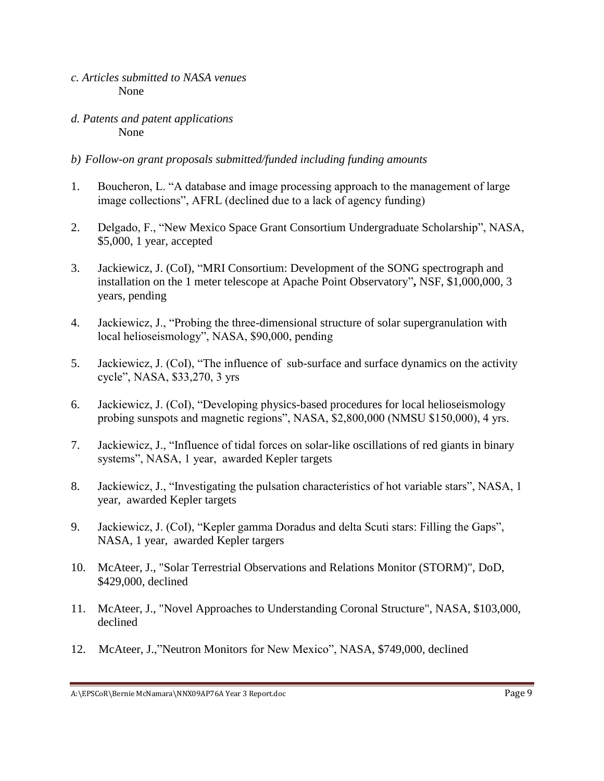- *c. Articles submitted to NASA venues* None
- *d. Patents and patent applications* None
- *b) Follow-on grant proposals submitted/funded including funding amounts*
- 1. Boucheron, L. "A database and image processing approach to the management of large image collections", AFRL (declined due to a lack of agency funding)
- 2. Delgado, F., "New Mexico Space Grant Consortium Undergraduate Scholarship", NASA, \$5,000, 1 year, accepted
- 3. Jackiewicz, J. (CoI), "MRI Consortium: Development of the SONG spectrograph and installation on the 1 meter telescope at Apache Point Observatory"**,** NSF, \$1,000,000, 3 years, pending
- 4. Jackiewicz, J., "Probing the three-dimensional structure of solar supergranulation with local helioseismology", NASA, \$90,000, pending
- 5. Jackiewicz, J. (CoI), "The influence of sub-surface and surface dynamics on the activity cycle", NASA, \$33,270, 3 yrs
- 6. Jackiewicz, J. (CoI), "Developing physics-based procedures for local helioseismology probing sunspots and magnetic regions", NASA, \$2,800,000 (NMSU \$150,000), 4 yrs.
- 7. Jackiewicz, J., "Influence of tidal forces on solar-like oscillations of red giants in binary systems", NASA, 1 year, awarded Kepler targets
- 8. Jackiewicz, J., "Investigating the pulsation characteristics of hot variable stars", NASA, 1 year, awarded Kepler targets
- 9. Jackiewicz, J. (CoI), "Kepler gamma Doradus and delta Scuti stars: Filling the Gaps", NASA, 1 year, awarded Kepler targers
- 10. McAteer, J., "Solar Terrestrial Observations and Relations Monitor (STORM)", DoD, \$429,000, declined
- 11. McAteer, J., "Novel Approaches to Understanding Coronal Structure", NASA, \$103,000, declined
- 12. McAteer, J.,"Neutron Monitors for New Mexico", NASA, \$749,000, declined

A:\EPSCoR\Bernie McNamara\NNX09AP76A Year 3 Report.doc entries and the control of the Page 9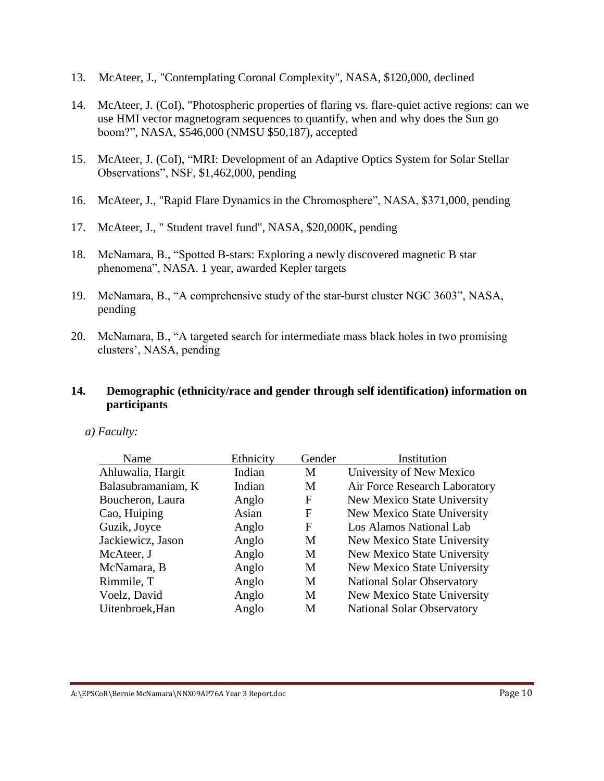- 13. McAteer, J., "Contemplating Coronal Complexity", NASA, \$120,000, declined
- 14. McAteer, J. (CoI), "Photospheric properties of flaring vs. flare-quiet active regions: can we use HMI vector magnetogram sequences to quantify, when and why does the Sun go boom?", NASA, \$546,000 (NMSU \$50,187), accepted
- 15. McAteer, J. (CoI), "MRI: Development of an Adaptive Optics System for Solar Stellar Observations", NSF, \$1,462,000, pending
- 16. McAteer, J., "Rapid Flare Dynamics in the Chromosphere", NASA, \$371,000, pending
- 17. McAteer, J., " Student travel fund", NASA, \$20,000K, pending
- 18. McNamara, B., "Spotted B-stars: Exploring a newly discovered magnetic B star phenomena", NASA. 1 year, awarded Kepler targets
- 19. McNamara, B., "A comprehensive study of the star-burst cluster NGC 3603", NASA, pending
- 20. McNamara, B., "A targeted search for intermediate mass black holes in two promising clusters', NASA, pending

#### **14. Demographic (ethnicity/race and gender through self identification) information on participants**

| Name               | Ethnicity | Gender | Institution                       |
|--------------------|-----------|--------|-----------------------------------|
| Ahluwalia, Hargit  | Indian    | M      | University of New Mexico          |
| Balasubramaniam, K | Indian    | M      | Air Force Research Laboratory     |
| Boucheron, Laura   | Anglo     | F      | New Mexico State University       |
| Cao, Huiping       | Asian     | F      | New Mexico State University       |
| Guzik, Joyce       | Anglo     | F      | Los Alamos National Lab           |
| Jackiewicz, Jason  | Anglo     | M      | New Mexico State University       |
| McAteer, J         | Anglo     | M      | New Mexico State University       |
| McNamara, B        | Anglo     | M      | New Mexico State University       |
| Rimmile, T         | Anglo     | M      | <b>National Solar Observatory</b> |
| Voelz, David       | Anglo     | M      | New Mexico State University       |
| Uitenbroek, Han    | Anglo     | M      | <b>National Solar Observatory</b> |